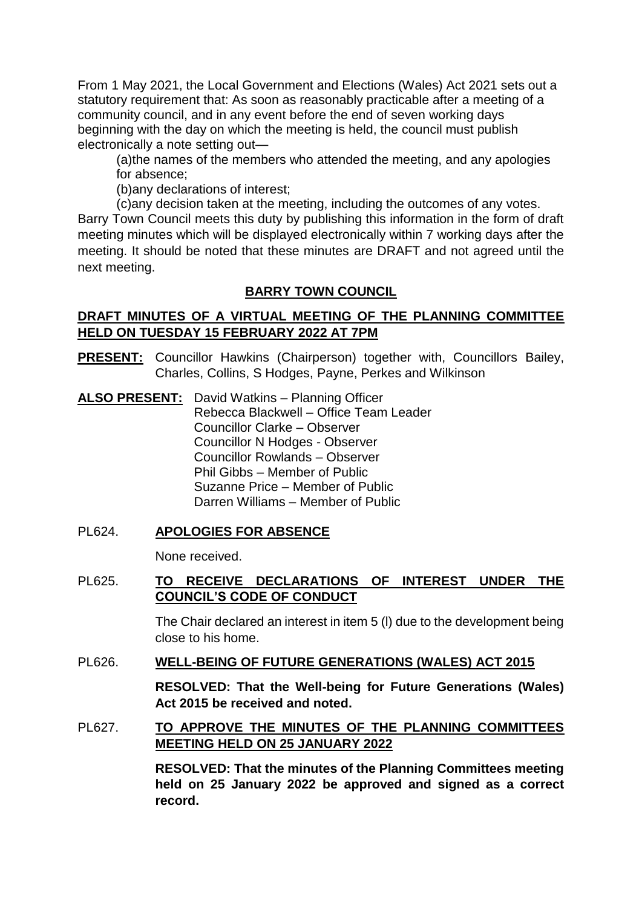From 1 May 2021, the Local Government and Elections (Wales) Act 2021 sets out a statutory requirement that: As soon as reasonably practicable after a meeting of a community council, and in any event before the end of seven working days beginning with the day on which the meeting is held, the council must publish electronically a note setting out—

(a)the names of the members who attended the meeting, and any apologies for absence;

(b)any declarations of interest;

(c)any decision taken at the meeting, including the outcomes of any votes. Barry Town Council meets this duty by publishing this information in the form of draft meeting minutes which will be displayed electronically within 7 working days after the meeting. It should be noted that these minutes are DRAFT and not agreed until the next meeting.

# **BARRY TOWN COUNCIL**

# **DRAFT MINUTES OF A VIRTUAL MEETING OF THE PLANNING COMMITTEE HELD ON TUESDAY 15 FEBRUARY 2022 AT 7PM**

**PRESENT:** Councillor Hawkins (Chairperson) together with, Councillors Bailey, Charles, Collins, S Hodges, Payne, Perkes and Wilkinson

**ALSO PRESENT:** David Watkins – Planning Officer Rebecca Blackwell – Office Team Leader Councillor Clarke – Observer Councillor N Hodges - Observer Councillor Rowlands – Observer Phil Gibbs – Member of Public Suzanne Price – Member of Public Darren Williams – Member of Public

# PL624. **APOLOGIES FOR ABSENCE**

None received.

# PL625. **TO RECEIVE DECLARATIONS OF INTEREST UNDER THE COUNCIL'S CODE OF CONDUCT**

The Chair declared an interest in item 5 (l) due to the development being close to his home.

## PL626. **WELL-BEING OF FUTURE GENERATIONS (WALES) ACT 2015**

**RESOLVED: That the Well-being for Future Generations (Wales) Act 2015 be received and noted.** 

# PL627. **TO APPROVE THE MINUTES OF THE PLANNING COMMITTEES MEETING HELD ON 25 JANUARY 2022**

**RESOLVED: That the minutes of the Planning Committees meeting held on 25 January 2022 be approved and signed as a correct record.**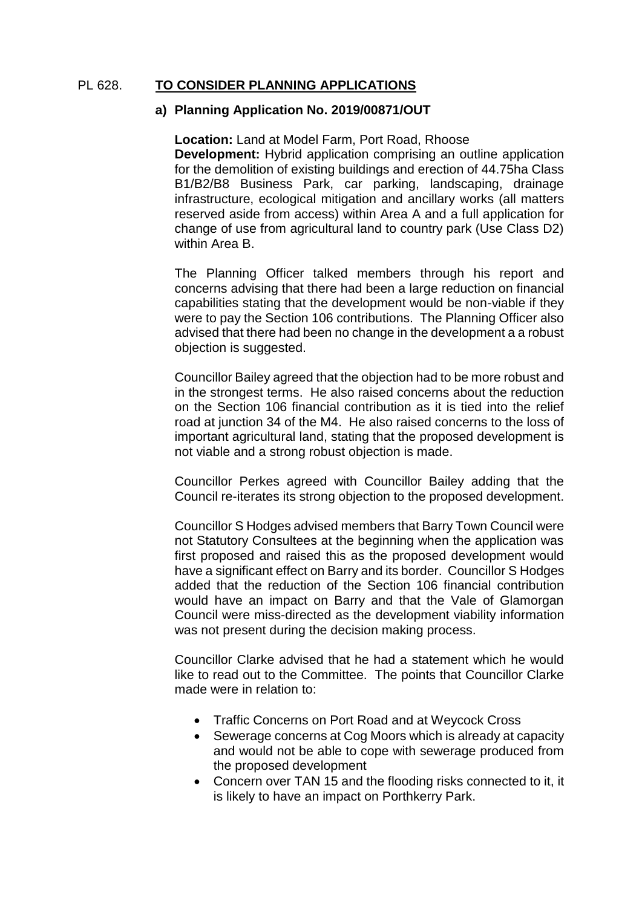### PL 628. **TO CONSIDER PLANNING APPLICATIONS**

### **a) Planning Application No. 2019/00871/OUT**

**Location:** Land at Model Farm, Port Road, Rhoose **Development:** Hybrid application comprising an outline application for the demolition of existing buildings and erection of 44.75ha Class B1/B2/B8 Business Park, car parking, landscaping, drainage infrastructure, ecological mitigation and ancillary works (all matters reserved aside from access) within Area A and a full application for change of use from agricultural land to country park (Use Class D2) within Area B.

The Planning Officer talked members through his report and concerns advising that there had been a large reduction on financial capabilities stating that the development would be non-viable if they were to pay the Section 106 contributions. The Planning Officer also advised that there had been no change in the development a a robust objection is suggested.

Councillor Bailey agreed that the objection had to be more robust and in the strongest terms. He also raised concerns about the reduction on the Section 106 financial contribution as it is tied into the relief road at junction 34 of the M4. He also raised concerns to the loss of important agricultural land, stating that the proposed development is not viable and a strong robust objection is made.

Councillor Perkes agreed with Councillor Bailey adding that the Council re-iterates its strong objection to the proposed development.

Councillor S Hodges advised members that Barry Town Council were not Statutory Consultees at the beginning when the application was first proposed and raised this as the proposed development would have a significant effect on Barry and its border. Councillor S Hodges added that the reduction of the Section 106 financial contribution would have an impact on Barry and that the Vale of Glamorgan Council were miss-directed as the development viability information was not present during the decision making process.

Councillor Clarke advised that he had a statement which he would like to read out to the Committee. The points that Councillor Clarke made were in relation to:

- Traffic Concerns on Port Road and at Weycock Cross
- Sewerage concerns at Cog Moors which is already at capacity and would not be able to cope with sewerage produced from the proposed development
- Concern over TAN 15 and the flooding risks connected to it, it is likely to have an impact on Porthkerry Park.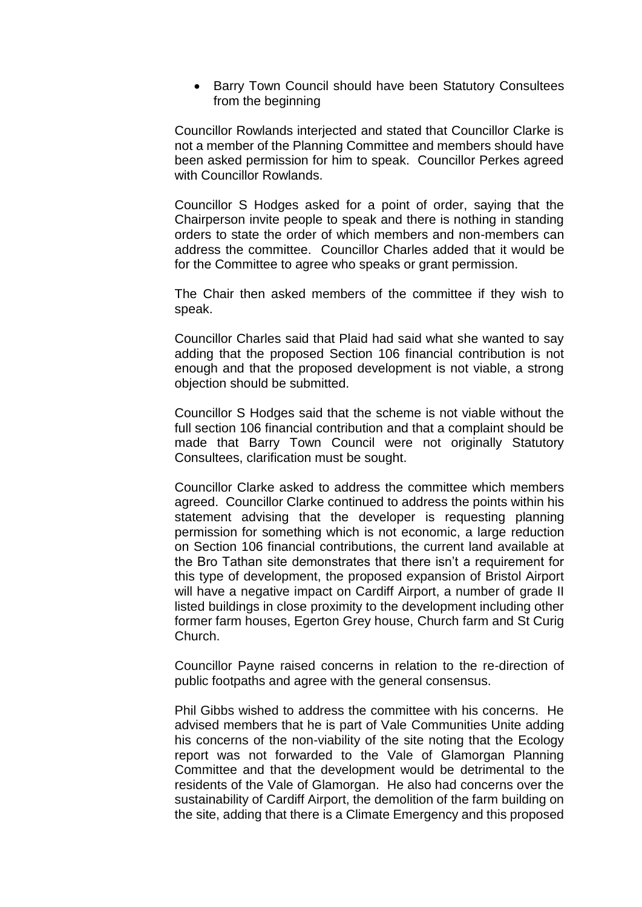• Barry Town Council should have been Statutory Consultees from the beginning

Councillor Rowlands interjected and stated that Councillor Clarke is not a member of the Planning Committee and members should have been asked permission for him to speak. Councillor Perkes agreed with Councillor Rowlands.

Councillor S Hodges asked for a point of order, saying that the Chairperson invite people to speak and there is nothing in standing orders to state the order of which members and non-members can address the committee. Councillor Charles added that it would be for the Committee to agree who speaks or grant permission.

The Chair then asked members of the committee if they wish to speak.

Councillor Charles said that Plaid had said what she wanted to say adding that the proposed Section 106 financial contribution is not enough and that the proposed development is not viable, a strong objection should be submitted.

Councillor S Hodges said that the scheme is not viable without the full section 106 financial contribution and that a complaint should be made that Barry Town Council were not originally Statutory Consultees, clarification must be sought.

Councillor Clarke asked to address the committee which members agreed. Councillor Clarke continued to address the points within his statement advising that the developer is requesting planning permission for something which is not economic, a large reduction on Section 106 financial contributions, the current land available at the Bro Tathan site demonstrates that there isn't a requirement for this type of development, the proposed expansion of Bristol Airport will have a negative impact on Cardiff Airport, a number of grade II listed buildings in close proximity to the development including other former farm houses, Egerton Grey house, Church farm and St Curig Church.

Councillor Payne raised concerns in relation to the re-direction of public footpaths and agree with the general consensus.

Phil Gibbs wished to address the committee with his concerns. He advised members that he is part of Vale Communities Unite adding his concerns of the non-viability of the site noting that the Ecology report was not forwarded to the Vale of Glamorgan Planning Committee and that the development would be detrimental to the residents of the Vale of Glamorgan. He also had concerns over the sustainability of Cardiff Airport, the demolition of the farm building on the site, adding that there is a Climate Emergency and this proposed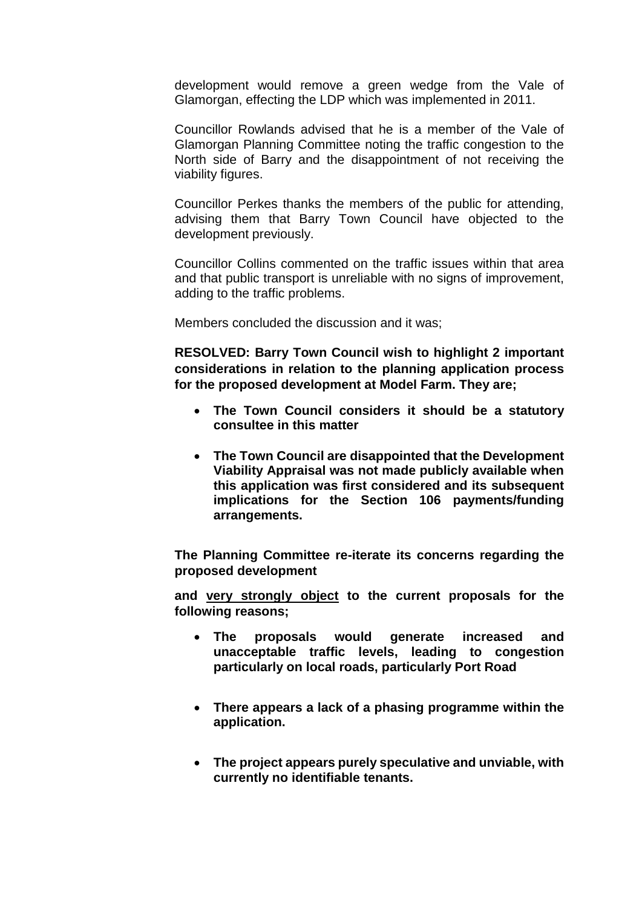development would remove a green wedge from the Vale of Glamorgan, effecting the LDP which was implemented in 2011.

Councillor Rowlands advised that he is a member of the Vale of Glamorgan Planning Committee noting the traffic congestion to the North side of Barry and the disappointment of not receiving the viability figures.

Councillor Perkes thanks the members of the public for attending, advising them that Barry Town Council have objected to the development previously.

Councillor Collins commented on the traffic issues within that area and that public transport is unreliable with no signs of improvement, adding to the traffic problems.

Members concluded the discussion and it was;

**RESOLVED: Barry Town Council wish to highlight 2 important considerations in relation to the planning application process for the proposed development at Model Farm. They are;**

- **The Town Council considers it should be a statutory consultee in this matter**
- **The Town Council are disappointed that the Development Viability Appraisal was not made publicly available when this application was first considered and its subsequent implications for the Section 106 payments/funding arrangements.**

**The Planning Committee re-iterate its concerns regarding the proposed development**

**and very strongly object to the current proposals for the following reasons;**

- **The proposals would generate increased and unacceptable traffic levels, leading to congestion particularly on local roads, particularly Port Road**
- **There appears a lack of a phasing programme within the application.**
- **The project appears purely speculative and unviable, with currently no identifiable tenants.**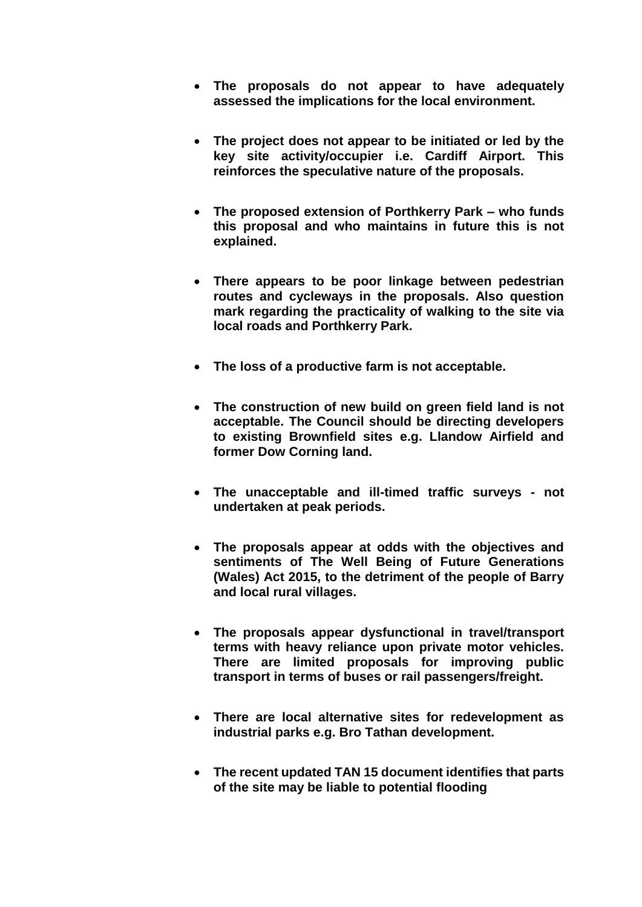- **The proposals do not appear to have adequately assessed the implications for the local environment.**
- **The project does not appear to be initiated or led by the key site activity/occupier i.e. Cardiff Airport. This reinforces the speculative nature of the proposals.**
- **The proposed extension of Porthkerry Park – who funds this proposal and who maintains in future this is not explained.**
- **There appears to be poor linkage between pedestrian routes and cycleways in the proposals. Also question mark regarding the practicality of walking to the site via local roads and Porthkerry Park.**
- **The loss of a productive farm is not acceptable.**
- **The construction of new build on green field land is not acceptable. The Council should be directing developers to existing Brownfield sites e.g. Llandow Airfield and former Dow Corning land.**
- **The unacceptable and ill-timed traffic surveys - not undertaken at peak periods.**
- **The proposals appear at odds with the objectives and sentiments of The Well Being of Future Generations (Wales) Act 2015, to the detriment of the people of Barry and local rural villages.**
- **The proposals appear dysfunctional in travel/transport terms with heavy reliance upon private motor vehicles. There are limited proposals for improving public transport in terms of buses or rail passengers/freight.**
- **There are local alternative sites for redevelopment as industrial parks e.g. Bro Tathan development.**
- **The recent updated TAN 15 document identifies that parts of the site may be liable to potential flooding**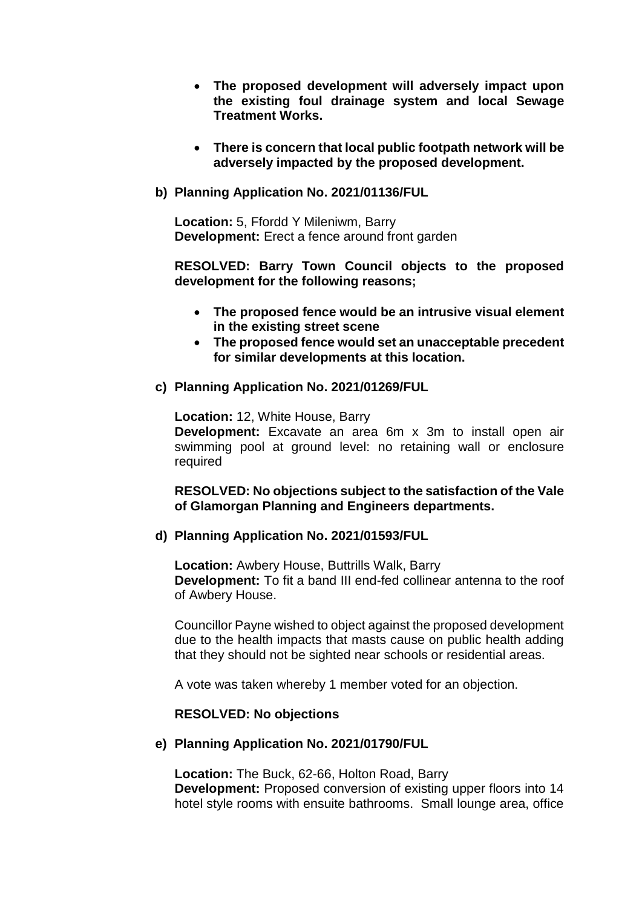- **The proposed development will adversely impact upon the existing foul drainage system and local Sewage Treatment Works.**
- **There is concern that local public footpath network will be adversely impacted by the proposed development.**
- **b) Planning Application No. 2021/01136/FUL**

**Location:** 5, Ffordd Y Mileniwm, Barry **Development:** Erect a fence around front garden

**RESOLVED: Barry Town Council objects to the proposed development for the following reasons;** 

- **The proposed fence would be an intrusive visual element in the existing street scene**
- **The proposed fence would set an unacceptable precedent for similar developments at this location.**

#### **c) Planning Application No. 2021/01269/FUL**

**Location:** 12, White House, Barry **Development:** Excavate an area 6m x 3m to install open air swimming pool at ground level: no retaining wall or enclosure required

**RESOLVED: No objections subject to the satisfaction of the Vale of Glamorgan Planning and Engineers departments.** 

### **d) Planning Application No. 2021/01593/FUL**

**Location:** Awbery House, Buttrills Walk, Barry **Development:** To fit a band III end-fed collinear antenna to the roof of Awbery House.

Councillor Payne wished to object against the proposed development due to the health impacts that masts cause on public health adding that they should not be sighted near schools or residential areas.

A vote was taken whereby 1 member voted for an objection.

### **RESOLVED: No objections**

#### **e) Planning Application No. 2021/01790/FUL**

**Location:** The Buck, 62-66, Holton Road, Barry **Development:** Proposed conversion of existing upper floors into 14 hotel style rooms with ensuite bathrooms. Small lounge area, office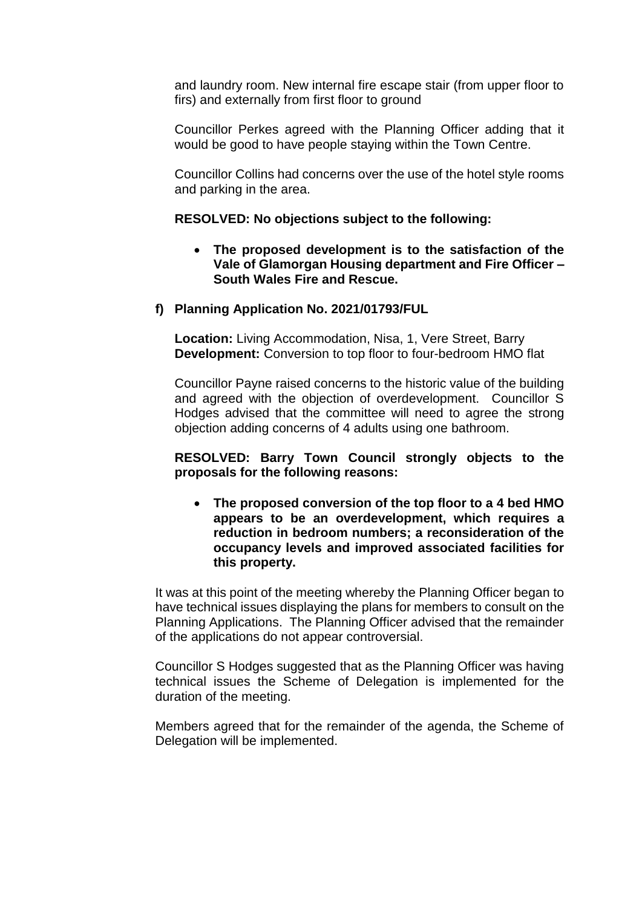and laundry room. New internal fire escape stair (from upper floor to firs) and externally from first floor to ground

Councillor Perkes agreed with the Planning Officer adding that it would be good to have people staying within the Town Centre.

Councillor Collins had concerns over the use of the hotel style rooms and parking in the area.

### **RESOLVED: No objections subject to the following:**

 **The proposed development is to the satisfaction of the Vale of Glamorgan Housing department and Fire Officer – South Wales Fire and Rescue.** 

## **f) Planning Application No. 2021/01793/FUL**

**Location:** Living Accommodation, Nisa, 1, Vere Street, Barry **Development:** Conversion to top floor to four-bedroom HMO flat

Councillor Payne raised concerns to the historic value of the building and agreed with the objection of overdevelopment. Councillor S Hodges advised that the committee will need to agree the strong objection adding concerns of 4 adults using one bathroom.

## **RESOLVED: Barry Town Council strongly objects to the proposals for the following reasons:**

 **The proposed conversion of the top floor to a 4 bed HMO appears to be an overdevelopment, which requires a reduction in bedroom numbers; a reconsideration of the occupancy levels and improved associated facilities for this property.** 

It was at this point of the meeting whereby the Planning Officer began to have technical issues displaying the plans for members to consult on the Planning Applications. The Planning Officer advised that the remainder of the applications do not appear controversial.

Councillor S Hodges suggested that as the Planning Officer was having technical issues the Scheme of Delegation is implemented for the duration of the meeting.

Members agreed that for the remainder of the agenda, the Scheme of Delegation will be implemented.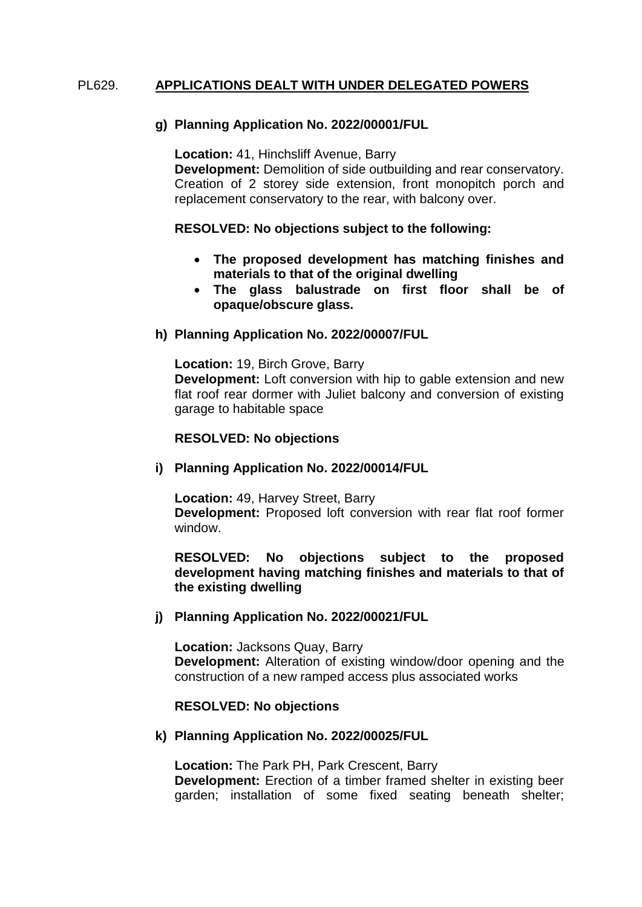## PL629. **APPLICATIONS DEALT WITH UNDER DELEGATED POWERS**

### **g) Planning Application No. 2022/00001/FUL**

**Location:** 41, Hinchsliff Avenue, Barry **Development:** Demolition of side outbuilding and rear conservatory. Creation of 2 storey side extension, front monopitch porch and replacement conservatory to the rear, with balcony over.

### **RESOLVED: No objections subject to the following:**

- **The proposed development has matching finishes and materials to that of the original dwelling**
- **The glass balustrade on first floor shall be of opaque/obscure glass.**

## **h) Planning Application No. 2022/00007/FUL**

**Location:** 19, Birch Grove, Barry **Development:** Loft conversion with hip to gable extension and new flat roof rear dormer with Juliet balcony and conversion of existing garage to habitable space

### **RESOLVED: No objections**

## **i) Planning Application No. 2022/00014/FUL**

**Location:** 49, Harvey Street, Barry **Development:** Proposed loft conversion with rear flat roof former window.

## **RESOLVED: No objections subject to the proposed development having matching finishes and materials to that of the existing dwelling**

## **j) Planning Application No. 2022/00021/FUL**

**Location:** Jacksons Quay, Barry **Development:** Alteration of existing window/door opening and the construction of a new ramped access plus associated works

#### **RESOLVED: No objections**

#### **k) Planning Application No. 2022/00025/FUL**

**Location:** The Park PH, Park Crescent, Barry **Development:** Erection of a timber framed shelter in existing beer garden; installation of some fixed seating beneath shelter;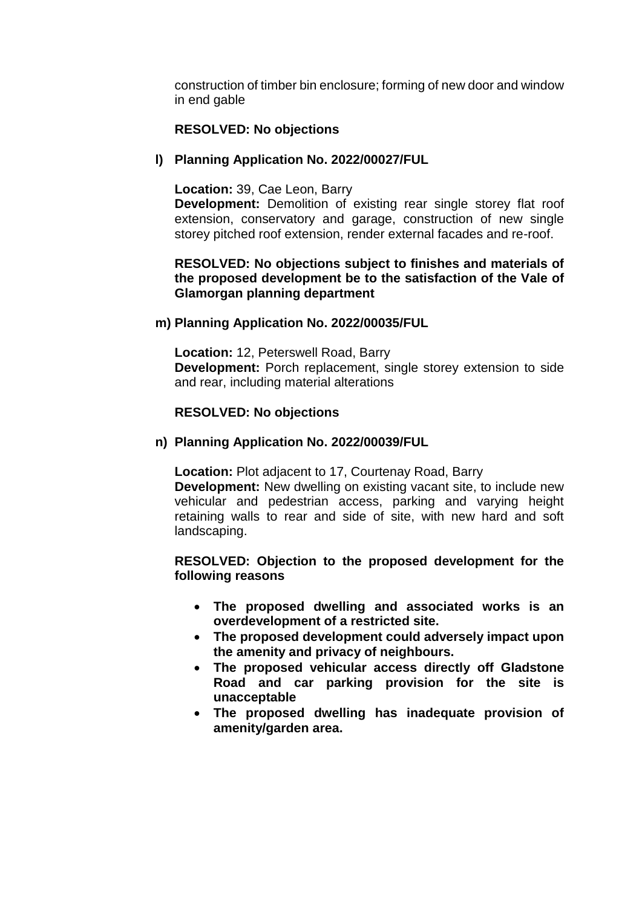construction of timber bin enclosure; forming of new door and window in end gable

## **RESOLVED: No objections**

### **l) Planning Application No. 2022/00027/FUL**

**Location:** 39, Cae Leon, Barry **Development:** Demolition of existing rear single storey flat roof extension, conservatory and garage, construction of new single storey pitched roof extension, render external facades and re-roof.

### **RESOLVED: No objections subject to finishes and materials of the proposed development be to the satisfaction of the Vale of Glamorgan planning department**

#### **m) Planning Application No. 2022/00035/FUL**

**Location:** 12, Peterswell Road, Barry **Development:** Porch replacement, single storey extension to side and rear, including material alterations

### **RESOLVED: No objections**

#### **n) Planning Application No. 2022/00039/FUL**

**Location:** Plot adjacent to 17, Courtenay Road, Barry **Development:** New dwelling on existing vacant site, to include new vehicular and pedestrian access, parking and varying height retaining walls to rear and side of site, with new hard and soft landscaping.

## **RESOLVED: Objection to the proposed development for the following reasons**

- **The proposed dwelling and associated works is an overdevelopment of a restricted site.**
- **The proposed development could adversely impact upon the amenity and privacy of neighbours.**
- **The proposed vehicular access directly off Gladstone Road and car parking provision for the site is unacceptable**
- **The proposed dwelling has inadequate provision of amenity/garden area.**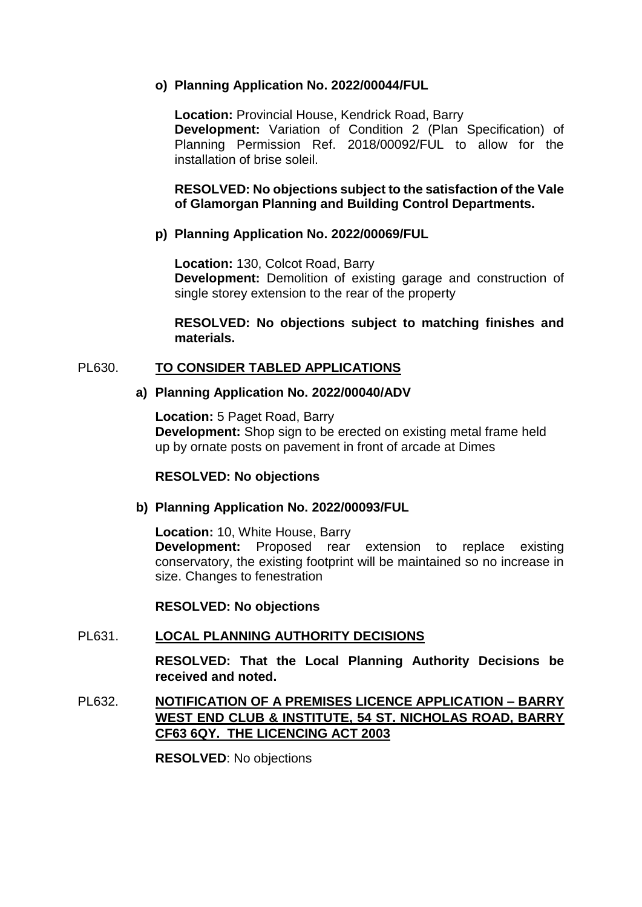### **o) Planning Application No. 2022/00044/FUL**

**Location:** Provincial House, Kendrick Road, Barry **Development:** Variation of Condition 2 (Plan Specification) of Planning Permission Ref. 2018/00092/FUL to allow for the installation of brise soleil.

**RESOLVED: No objections subject to the satisfaction of the Vale of Glamorgan Planning and Building Control Departments.** 

### **p) Planning Application No. 2022/00069/FUL**

**Location:** 130, Colcot Road, Barry **Development:** Demolition of existing garage and construction of single storey extension to the rear of the property

**RESOLVED: No objections subject to matching finishes and materials.** 

#### PL630. **TO CONSIDER TABLED APPLICATIONS**

#### **a) Planning Application No. 2022/00040/ADV**

**Location:** 5 Paget Road, Barry **Development:** Shop sign to be erected on existing metal frame held up by ornate posts on pavement in front of arcade at Dimes

#### **RESOLVED: No objections**

#### **b) Planning Application No. 2022/00093/FUL**

**Location:** 10, White House, Barry

**Development:** Proposed rear extension to replace existing conservatory, the existing footprint will be maintained so no increase in size. Changes to fenestration

#### **RESOLVED: No objections**

#### PL631. **LOCAL PLANNING AUTHORITY DECISIONS**

**RESOLVED: That the Local Planning Authority Decisions be received and noted.** 

# PL632. **NOTIFICATION OF A PREMISES LICENCE APPLICATION – BARRY WEST END CLUB & INSTITUTE, 54 ST. NICHOLAS ROAD, BARRY CF63 6QY. THE LICENCING ACT 2003**

**RESOLVED**: No objections